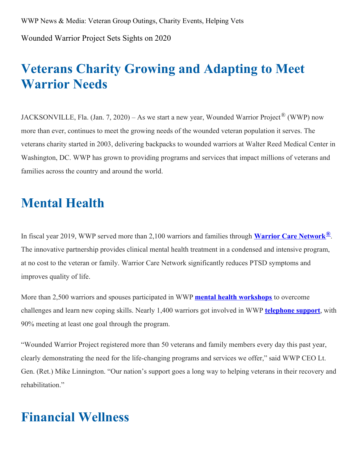Wounded Warrior Project Sets Sights on 2020

# **Veterans Charity Growing and Adapting to Meet Warrior Needs**

JACKSONVILLE, Fla. (Jan. 7, 2020) – As we start a new year, Wounded Warrior Project<sup>®</sup> (WWP) now more than ever, continues to meet the growing needs of the wounded veteran population it serves. The veterans charity started in 2003, delivering backpacks to wounded warriors at Walter Reed Medical Center in Washington, DC. WWP has grown to providing programs and services that impact millions of veterans and families across the country and around the world.

# **Mental Health**

In fiscal year 2019, WWP served more than 2,100 warriors and families through **Warrior Care [Network](https://www.woundedwarriorproject.org/programs/warrior-care-network)®**. The innovative partnership provides clinical mental health treatment in a condensed and intensive program, at no cost to the veteran or family. Warrior Care Network significantly reduces PTSD symptoms and improves quality of life.

More than 2,500 warriors and spouses participated in WWP **mental health [workshops](https://www.woundedwarriorproject.org/programs/project-odyssey)** to overcome challenges and learn new coping skills. Nearly 1,400 warriors got involved in WWP **[telephone](https://www.woundedwarriorproject.org/programs/wwp-talk) support**, with 90% meeting at least one goal through the program.

"Wounded Warrior Project registered more than 50 veterans and family members every day this past year, clearly demonstrating the need for the life-changing programs and services we offer," said WWP CEO Lt. Gen. (Ret.) Mike Linnington. "Our nation's support goes a long way to helping veterans in their recovery and rehabilitation."

# **Financial Wellness**